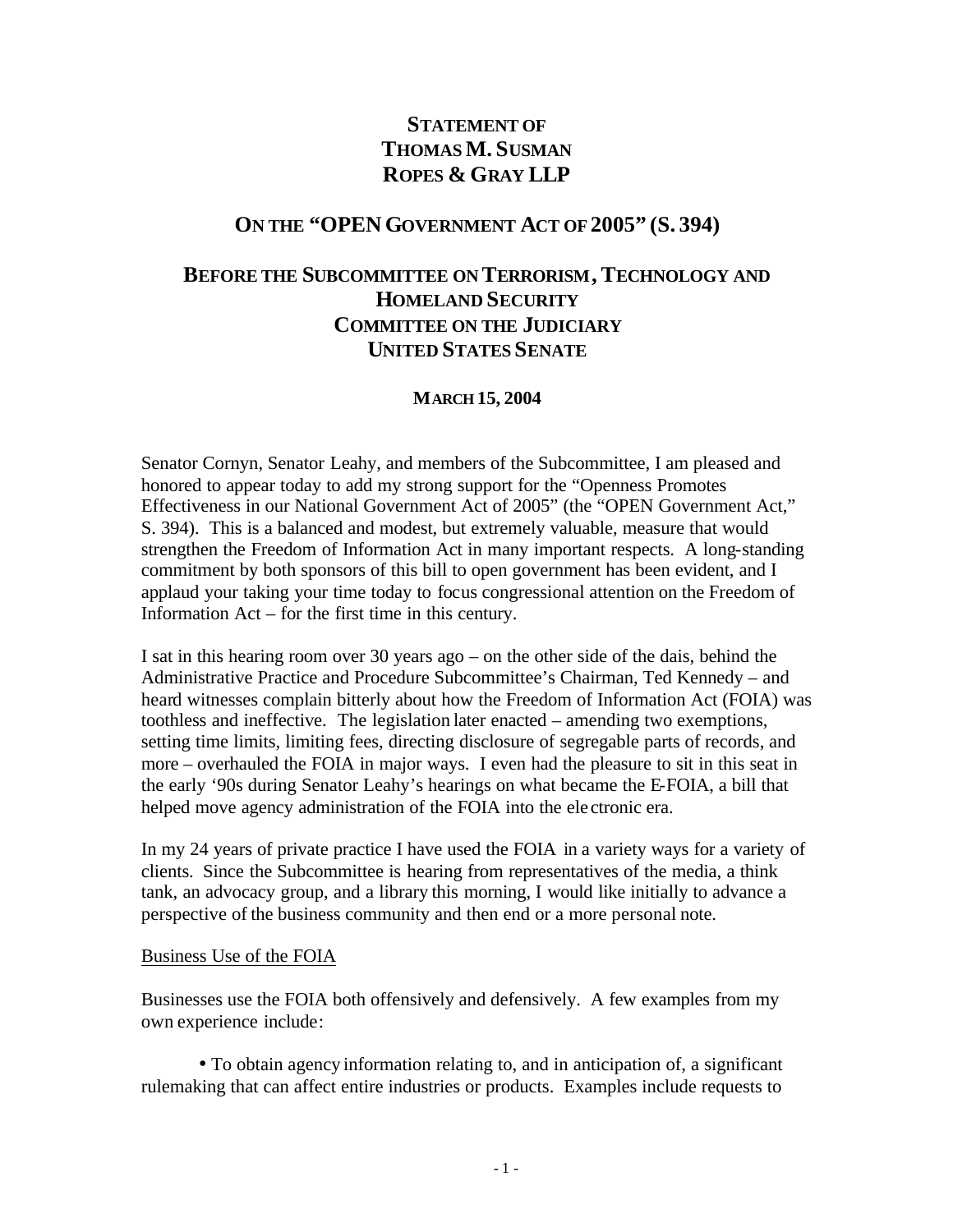# **STATEMENT OF THOMAS M. SUSMAN ROPES & GRAY LLP**

### **ON THE "OPENGOVERNMENT ACT OF 2005" (S. 394)**

# **BEFORE THE SUBCOMMITTEE ON TERRORISM, TECHNOLOGY AND HOMELAND SECURITY COMMITTEE ON THE JUDICIARY UNITED STATES SENATE**

#### **MARCH 15, 2004**

Senator Cornyn, Senator Leahy, and members of the Subcommittee, I am pleased and honored to appear today to add my strong support for the "Openness Promotes Effectiveness in our National Government Act of 2005" (the "OPEN Government Act," S. 394). This is a balanced and modest, but extremely valuable, measure that would strengthen the Freedom of Information Act in many important respects. A long-standing commitment by both sponsors of this bill to open government has been evident, and I applaud your taking your time today to focus congressional attention on the Freedom of Information Act – for the first time in this century.

I sat in this hearing room over 30 years ago – on the other side of the dais, behind the Administrative Practice and Procedure Subcommittee's Chairman, Ted Kennedy – and heard witnesses complain bitterly about how the Freedom of Information Act (FOIA) was toothless and ineffective. The legislation later enacted – amending two exemptions, setting time limits, limiting fees, directing disclosure of segregable parts of records, and more – overhauled the FOIA in major ways. I even had the pleasure to sit in this seat in the early '90s during Senator Leahy's hearings on what became the E-FOIA, a bill that helped move agency administration of the FOIA into the ele ctronic era.

In my 24 years of private practice I have used the FOIA in a variety ways for a variety of clients. Since the Subcommittee is hearing from representatives of the media, a think tank, an advocacy group, and a library this morning, I would like initially to advance a perspective of the business community and then end or a more personal note.

#### Business Use of the FOIA

Businesses use the FOIA both offensively and defensively. A few examples from my own experience include:

• To obtain agency information relating to, and in anticipation of, a significant rulemaking that can affect entire industries or products. Examples include requests to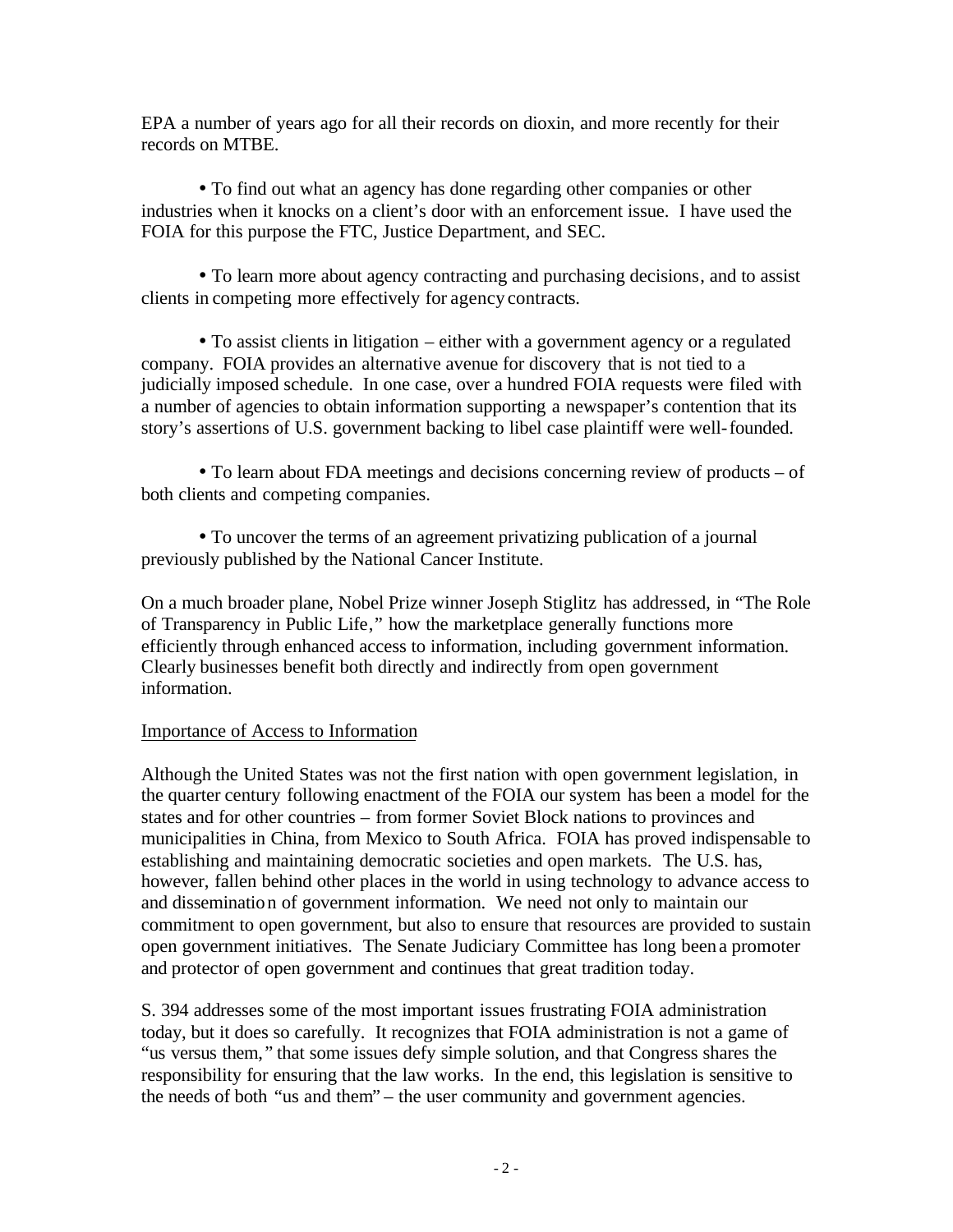EPA a number of years ago for all their records on dioxin, and more recently for their records on MTBE.

• To find out what an agency has done regarding other companies or other industries when it knocks on a client's door with an enforcement issue. I have used the FOIA for this purpose the FTC, Justice Department, and SEC.

• To learn more about agency contracting and purchasing decisions, and to assist clients in competing more effectively for agency contracts.

• To assist clients in litigation – either with a government agency or a regulated company. FOIA provides an alternative avenue for discovery that is not tied to a judicially imposed schedule. In one case, over a hundred FOIA requests were filed with a number of agencies to obtain information supporting a newspaper's contention that its story's assertions of U.S. government backing to libel case plaintiff were well-founded.

• To learn about FDA meetings and decisions concerning review of products – of both clients and competing companies.

• To uncover the terms of an agreement privatizing publication of a journal previously published by the National Cancer Institute.

On a much broader plane, Nobel Prize winner Joseph Stiglitz has addressed, in "The Role of Transparency in Public Life," how the marketplace generally functions more efficiently through enhanced access to information, including government information. Clearly businesses benefit both directly and indirectly from open government information.

### Importance of Access to Information

Although the United States was not the first nation with open government legislation, in the quarter century following enactment of the FOIA our system has been a model for the states and for other countries – from former Soviet Block nations to provinces and municipalities in China, from Mexico to South Africa. FOIA has proved indispensable to establishing and maintaining democratic societies and open markets. The U.S. has, however, fallen behind other places in the world in using technology to advance access to and dissemination of government information. We need not only to maintain our commitment to open government, but also to ensure that resources are provided to sustain open government initiatives. The Senate Judiciary Committee has long beena promoter and protector of open government and continues that great tradition today.

S. 394 addresses some of the most important issues frustrating FOIA administration today, but it does so carefully. It recognizes that FOIA administration is not a game of "us versus them," that some issues defy simple solution, and that Congress shares the responsibility for ensuring that the law works. In the end, this legislation is sensitive to the needs of both "us and them" – the user community and government agencies.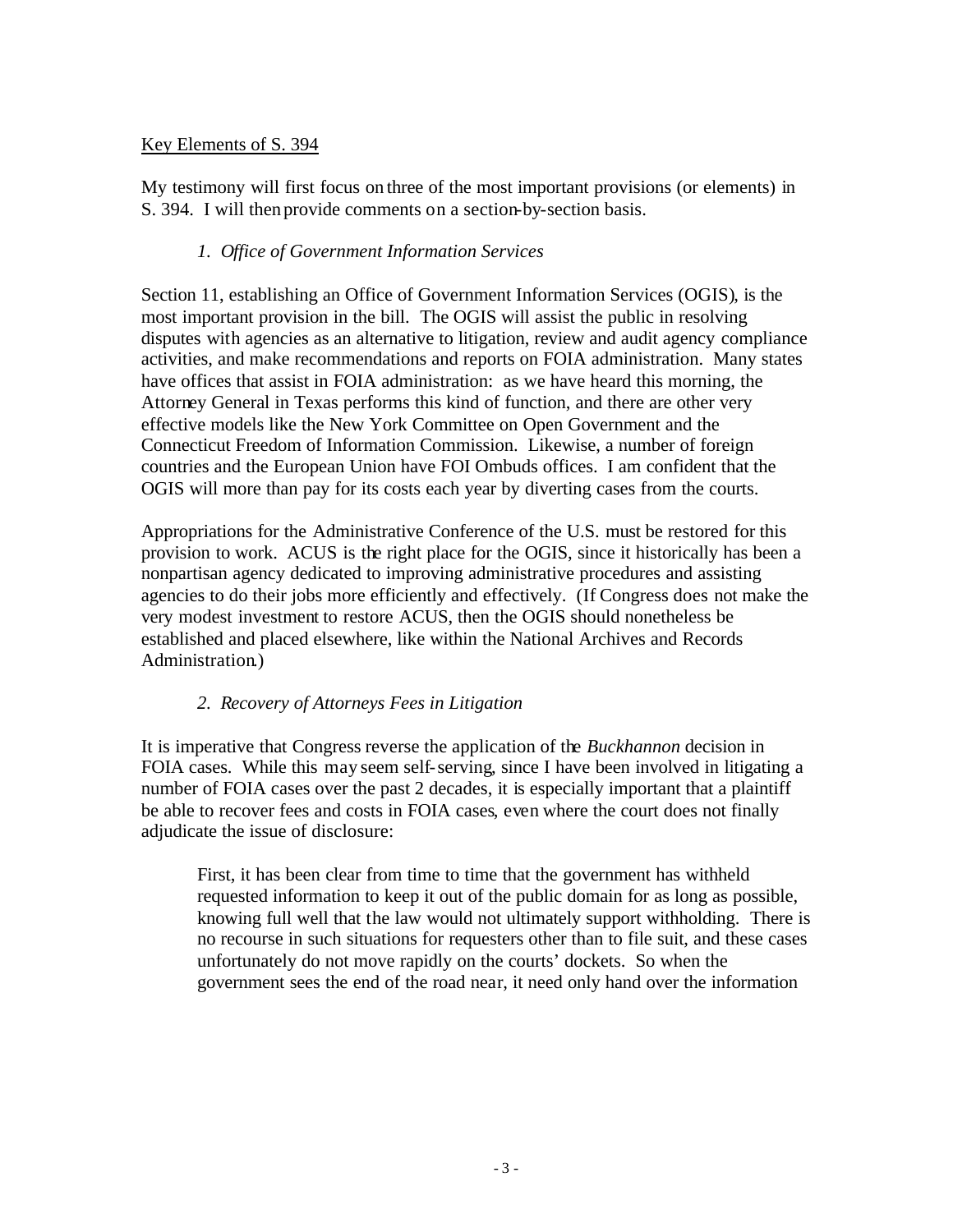### Key Elements of S. 394

My testimony will first focus on three of the most important provisions (or elements) in S. 394. I will then provide comments on a section-by-section basis.

### *1. Office of Government Information Services*

Section 11, establishing an Office of Government Information Services (OGIS), is the most important provision in the bill. The OGIS will assist the public in resolving disputes with agencies as an alternative to litigation, review and audit agency compliance activities, and make recommendations and reports on FOIA administration. Many states have offices that assist in FOIA administration: as we have heard this morning, the Attorney General in Texas performs this kind of function, and there are other very effective models like the New York Committee on Open Government and the Connecticut Freedom of Information Commission. Likewise, a number of foreign countries and the European Union have FOI Ombuds offices. I am confident that the OGIS will more than pay for its costs each year by diverting cases from the courts.

Appropriations for the Administrative Conference of the U.S. must be restored for this provision to work. ACUS is the right place for the OGIS, since it historically has been a nonpartisan agency dedicated to improving administrative procedures and assisting agencies to do their jobs more efficiently and effectively. (If Congress does not make the very modest investment to restore ACUS, then the OGIS should nonetheless be established and placed elsewhere, like within the National Archives and Records Administration.)

### *2. Recovery of Attorneys Fees in Litigation*

It is imperative that Congress reverse the application of the *Buckhannon* decision in FOIA cases. While this may seem self-serving, since I have been involved in litigating a number of FOIA cases over the past 2 decades, it is especially important that a plaintiff be able to recover fees and costs in FOIA cases, even where the court does not finally adjudicate the issue of disclosure:

First, it has been clear from time to time that the government has withheld requested information to keep it out of the public domain for as long as possible, knowing full well that the law would not ultimately support withholding. There is no recourse in such situations for requesters other than to file suit, and these cases unfortunately do not move rapidly on the courts' dockets. So when the government sees the end of the road near, it need only hand over the information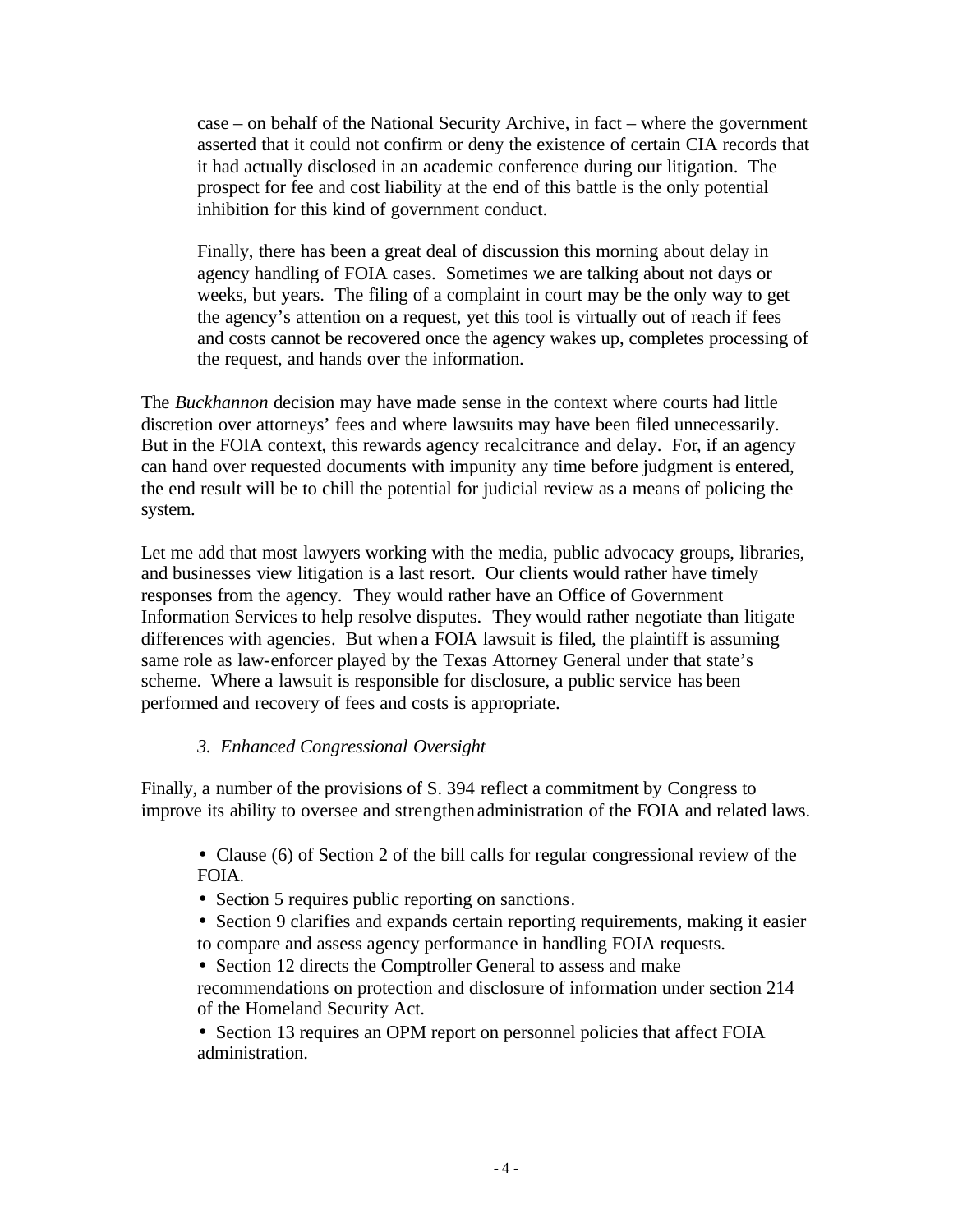case – on behalf of the National Security Archive, in fact – where the government asserted that it could not confirm or deny the existence of certain CIA records that it had actually disclosed in an academic conference during our litigation. The prospect for fee and cost liability at the end of this battle is the only potential inhibition for this kind of government conduct.

Finally, there has been a great deal of discussion this morning about delay in agency handling of FOIA cases. Sometimes we are talking about not days or weeks, but years. The filing of a complaint in court may be the only way to get the agency's attention on a request, yet this tool is virtually out of reach if fees and costs cannot be recovered once the agency wakes up, completes processing of the request, and hands over the information.

The *Buckhannon* decision may have made sense in the context where courts had little discretion over attorneys' fees and where lawsuits may have been filed unnecessarily. But in the FOIA context, this rewards agency recalcitrance and delay. For, if an agency can hand over requested documents with impunity any time before judgment is entered, the end result will be to chill the potential for judicial review as a means of policing the system.

Let me add that most lawyers working with the media, public advocacy groups, libraries, and businesses view litigation is a last resort. Our clients would rather have timely responses from the agency. They would rather have an Office of Government Information Services to help resolve disputes. They would rather negotiate than litigate differences with agencies. But when a FOIA lawsuit is filed, the plaintiff is assuming same role as law-enforcer played by the Texas Attorney General under that state's scheme. Where a lawsuit is responsible for disclosure, a public service has been performed and recovery of fees and costs is appropriate.

### *3. Enhanced Congressional Oversight*

Finally, a number of the provisions of S. 394 reflect a commitment by Congress to improve its ability to oversee and strengthen administration of the FOIA and related laws.

- Clause (6) of Section 2 of the bill calls for regular congressional review of the FOIA.
- Section 5 requires public reporting on sanctions.
- Section 9 clarifies and expands certain reporting requirements, making it easier to compare and assess agency performance in handling FOIA requests.
- Section 12 directs the Comptroller General to assess and make
- recommendations on protection and disclosure of information under section 214 of the Homeland Security Act.

• Section 13 requires an OPM report on personnel policies that affect FOIA administration.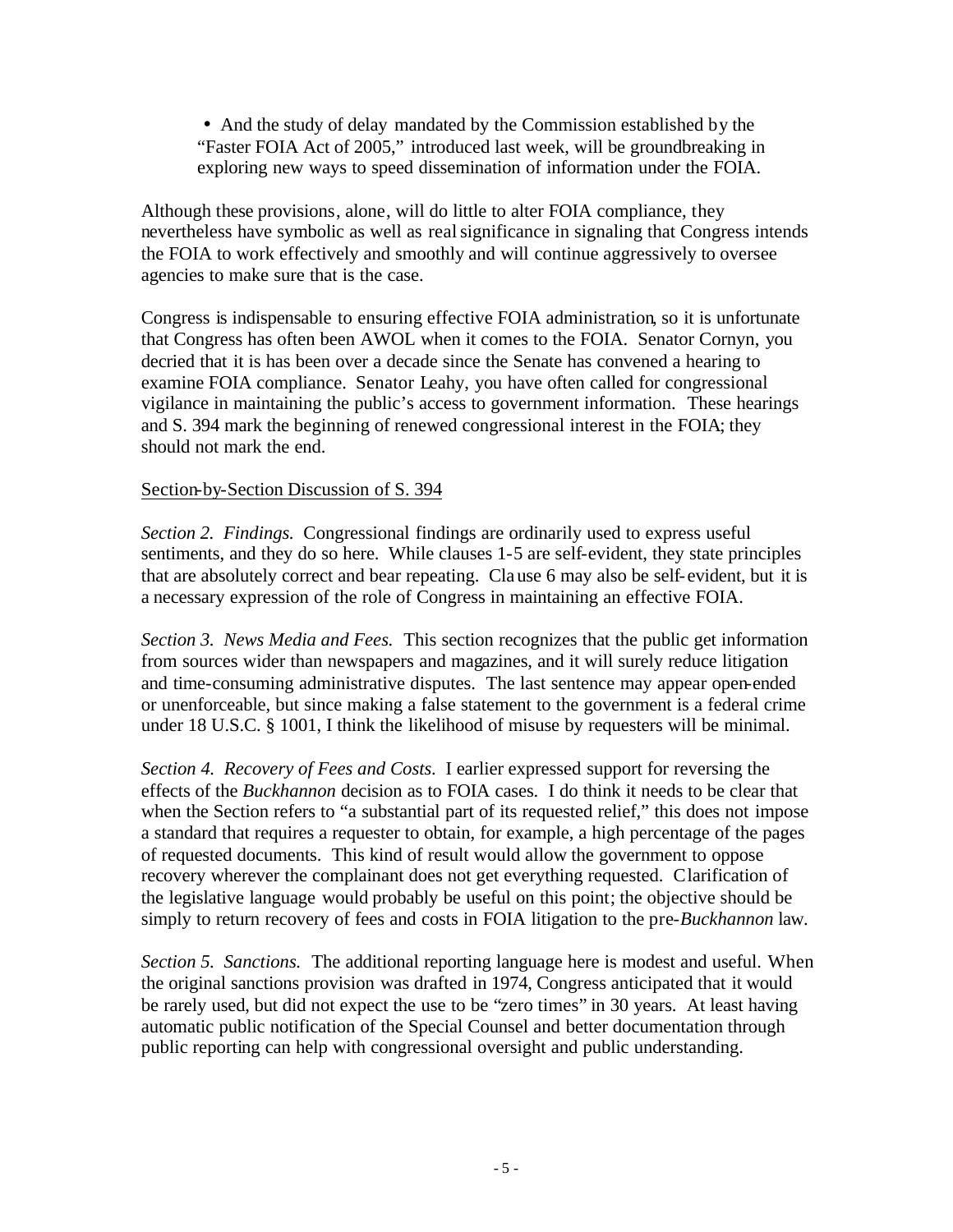• And the study of delay mandated by the Commission established by the "Faster FOIA Act of 2005," introduced last week, will be groundbreaking in exploring new ways to speed dissemination of information under the FOIA.

Although these provisions, alone, will do little to alter FOIA compliance, they nevertheless have symbolic as well as real significance in signaling that Congress intends the FOIA to work effectively and smoothly and will continue aggressively to oversee agencies to make sure that is the case.

Congress is indispensable to ensuring effective FOIA administration, so it is unfortunate that Congress has often been AWOL when it comes to the FOIA. Senator Cornyn, you decried that it is has been over a decade since the Senate has convened a hearing to examine FOIA compliance. Senator Leahy, you have often called for congressional vigilance in maintaining the public's access to government information. These hearings and S. 394 mark the beginning of renewed congressional interest in the FOIA; they should not mark the end.

#### Section-by-Section Discussion of S. 394

*Section 2. Findings.* Congressional findings are ordinarily used to express useful sentiments, and they do so here. While clauses 1-5 are self-evident, they state principles that are absolutely correct and bear repeating. Clause 6 may also be self-evident, but it is a necessary expression of the role of Congress in maintaining an effective FOIA.

*Section 3. News Media and Fees.* This section recognizes that the public get information from sources wider than newspapers and magazines, and it will surely reduce litigation and time-consuming administrative disputes. The last sentence may appear open-ended or unenforceable, but since making a false statement to the government is a federal crime under 18 U.S.C. § 1001, I think the likelihood of misuse by requesters will be minimal.

*Section 4. Recovery of Fees and Costs.* I earlier expressed support for reversing the effects of the *Buckhannon* decision as to FOIA cases. I do think it needs to be clear that when the Section refers to "a substantial part of its requested relief," this does not impose a standard that requires a requester to obtain, for example, a high percentage of the pages of requested documents. This kind of result would allow the government to oppose recovery wherever the complainant does not get everything requested. Clarification of the legislative language would probably be useful on this point; the objective should be simply to return recovery of fees and costs in FOIA litigation to the pre-*Buckhannon* law.

*Section 5. Sanctions.* The additional reporting language here is modest and useful. When the original sanctions provision was drafted in 1974, Congress anticipated that it would be rarely used, but did not expect the use to be "zero times" in 30 years. At least having automatic public notification of the Special Counsel and better documentation through public reporting can help with congressional oversight and public understanding.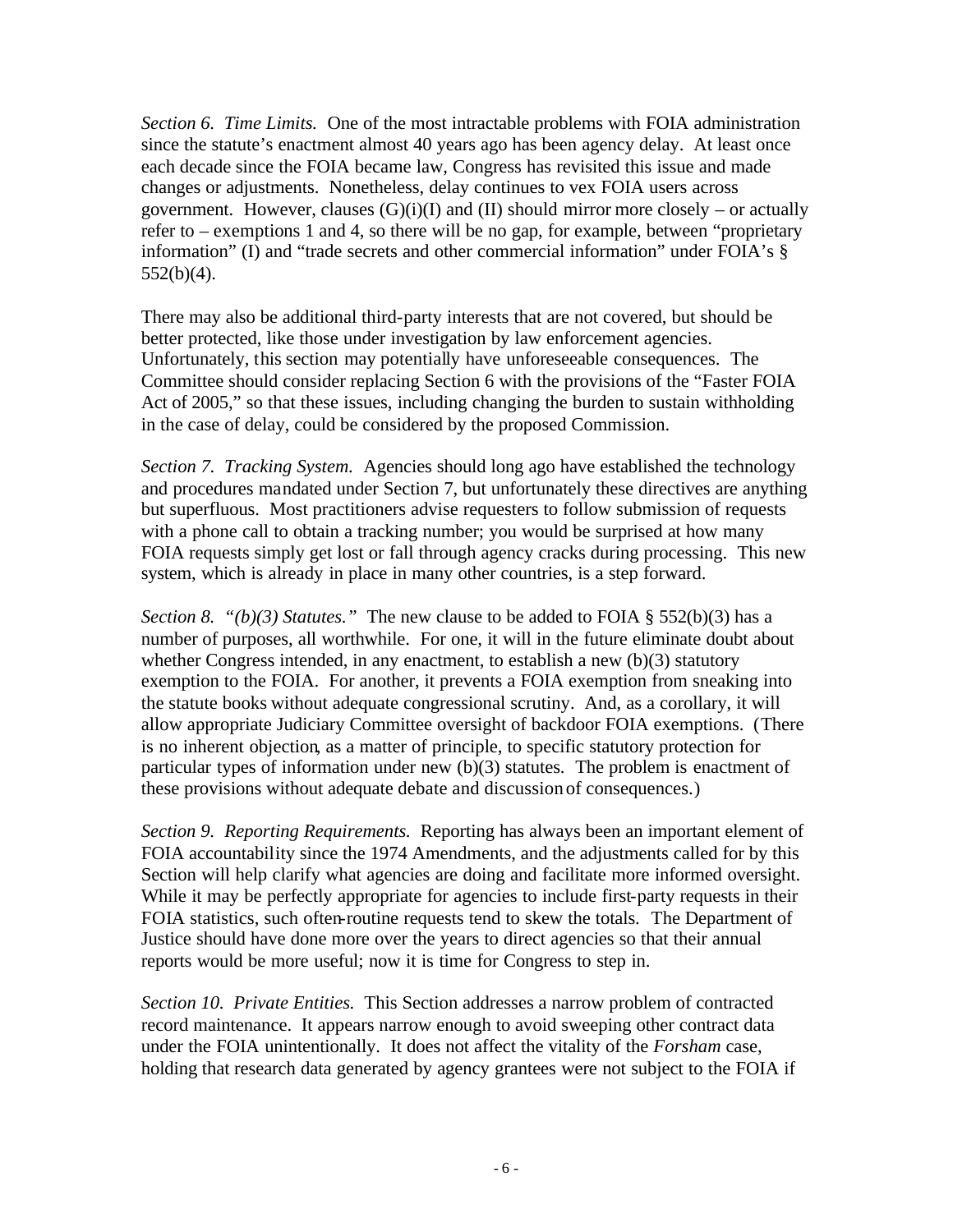*Section 6. Time Limits.* One of the most intractable problems with FOIA administration since the statute's enactment almost 40 years ago has been agency delay. At least once each decade since the FOIA became law, Congress has revisited this issue and made changes or adjustments. Nonetheless, delay continues to vex FOIA users across government. However, clauses  $(G)(i)(I)$  and  $(II)$  should mirror more closely – or actually refer to – exemptions 1 and 4, so there will be no gap, for example, between "proprietary information" (I) and "trade secrets and other commercial information" under FOIA's §  $552(b)(4)$ .

There may also be additional third-party interests that are not covered, but should be better protected, like those under investigation by law enforcement agencies. Unfortunately, this section may potentially have unforeseeable consequences. The Committee should consider replacing Section 6 with the provisions of the "Faster FOIA Act of 2005," so that these issues, including changing the burden to sustain withholding in the case of delay, could be considered by the proposed Commission.

*Section 7. Tracking System.* Agencies should long ago have established the technology and procedures mandated under Section 7, but unfortunately these directives are anything but superfluous. Most practitioners advise requesters to follow submission of requests with a phone call to obtain a tracking number; you would be surprised at how many FOIA requests simply get lost or fall through agency cracks during processing. This new system, which is already in place in many other countries, is a step forward.

*Section 8. "(b)(3) Statutes."* The new clause to be added to FOIA  $\S$  552(b)(3) has a number of purposes, all worthwhile. For one, it will in the future eliminate doubt about whether Congress intended, in any enactment, to establish a new (b)(3) statutory exemption to the FOIA. For another, it prevents a FOIA exemption from sneaking into the statute books without adequate congressional scrutiny. And, as a corollary, it will allow appropriate Judiciary Committee oversight of backdoor FOIA exemptions. (There is no inherent objection, as a matter of principle, to specific statutory protection for particular types of information under new (b)(3) statutes. The problem is enactment of these provisions without adequate debate and discussion of consequences.)

*Section 9. Reporting Requirements.* Reporting has always been an important element of FOIA accountability since the 1974 Amendments, and the adjustments called for by this Section will help clarify what agencies are doing and facilitate more informed oversight. While it may be perfectly appropriate for agencies to include first-party requests in their FOIA statistics, such often-routine requests tend to skew the totals. The Department of Justice should have done more over the years to direct agencies so that their annual reports would be more useful; now it is time for Congress to step in.

*Section 10. Private Entities.* This Section addresses a narrow problem of contracted record maintenance. It appears narrow enough to avoid sweeping other contract data under the FOIA unintentionally. It does not affect the vitality of the *Forsham* case, holding that research data generated by agency grantees were not subject to the FOIA if